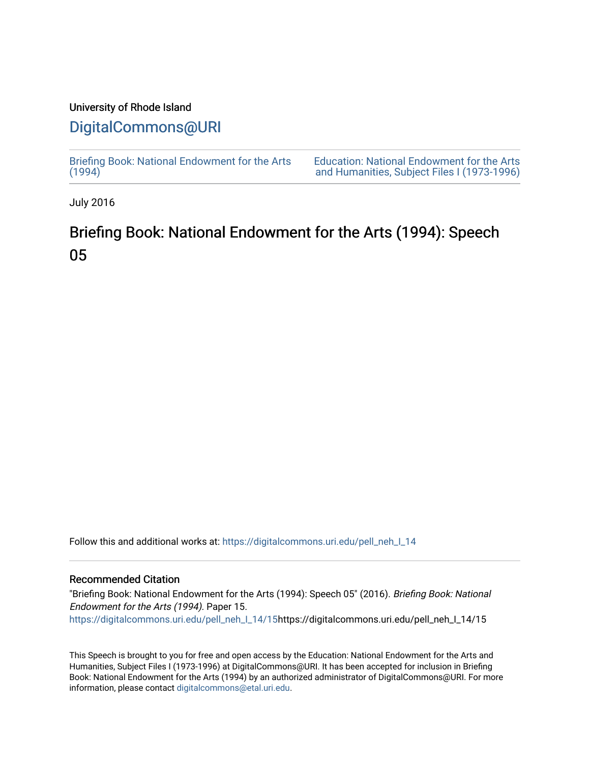# University of Rhode Island

# [DigitalCommons@URI](https://digitalcommons.uri.edu/)

[Briefing Book: National Endowment for the Arts](https://digitalcommons.uri.edu/pell_neh_I_14)  $(1994)$ 

[Education: National Endowment for the Arts](https://digitalcommons.uri.edu/pell_neh_I)  [and Humanities, Subject Files I \(1973-1996\)](https://digitalcommons.uri.edu/pell_neh_I) 

July 2016

# Briefing Book: National Endowment for the Arts (1994): Speech 05

Follow this and additional works at: [https://digitalcommons.uri.edu/pell\\_neh\\_I\\_14](https://digitalcommons.uri.edu/pell_neh_I_14?utm_source=digitalcommons.uri.edu%2Fpell_neh_I_14%2F15&utm_medium=PDF&utm_campaign=PDFCoverPages) 

#### Recommended Citation

"Briefing Book: National Endowment for the Arts (1994): Speech 05" (2016). Briefing Book: National Endowment for the Arts (1994). Paper 15. [https://digitalcommons.uri.edu/pell\\_neh\\_I\\_14/15h](https://digitalcommons.uri.edu/pell_neh_I_14/15?utm_source=digitalcommons.uri.edu%2Fpell_neh_I_14%2F15&utm_medium=PDF&utm_campaign=PDFCoverPages)ttps://digitalcommons.uri.edu/pell\_neh\_I\_14/15

This Speech is brought to you for free and open access by the Education: National Endowment for the Arts and Humanities, Subject Files I (1973-1996) at DigitalCommons@URI. It has been accepted for inclusion in Briefing Book: National Endowment for the Arts (1994) by an authorized administrator of DigitalCommons@URI. For more information, please contact [digitalcommons@etal.uri.edu.](mailto:digitalcommons@etal.uri.edu)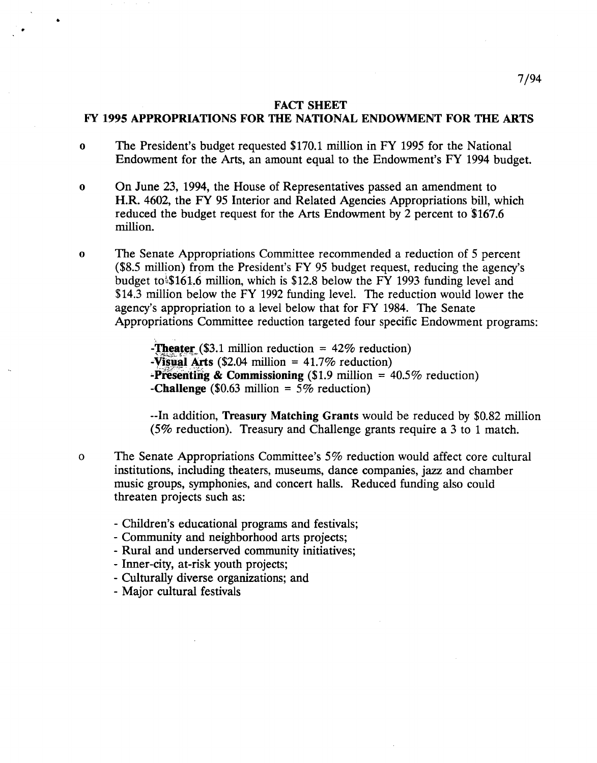#### FACT SHEET

## FY 1995 APPROPRIATIONS FOR THE NATIONAL ENDOWMENT FOR THE ARTS

- o The President's budget requested \$170.1 million in FY 1995 for the National Endowment for the Arts, an amount equal to the Endowment's FY 1994 budget.
- o On June 23, 1994, the House of Representatives passed an amendment to H.R. 4602, the FY 95 Interior and Related Agencies Appropriations bill, which reduced the budget request for the Arts Endowment by 2 percent to \$167.6 million.
- o The Senate Appropriations Committee recommended a reduction of 5 percent  $$8.5$  million) from the President's FY 95 budget request, reducing the agency's budget to $$161.6$  million, which is \$12.8 below the FY 1993 funding level and \$14.3 million below the FY 1992 funding level. The reduction would lower the agency's appropriation to a level below that for FY 1984. The Senate Appropriations Committee reduction targeted four specific Endowment programs:

-Theater (\$3.1 million reduction =  $42\%$  reduction) -Visual Arts (\$2.04 million =  $41.7\%$  reduction) **-Presenting & Commissioning** (\$1.9 million =  $40.5\%$  reduction) -Challenge (\$0.63 million =  $5\%$  reduction)

--In addition, Treasury Matching Grants would be reduced by \$0.82 million (5% reduction). Treasury and Challenge grants require a 3 to 1 match.

- o The Senate Appropriations Committee's 5% reduction would affect core cultural institutions, including theaters, museums, dance companies, jazz and chamber music groups, symphonies, and concert halls. Reduced funding also could threaten projects such as:
	- Children's educational programs and festivals;
	- Community and neighborhood arts projects;
	- Rural and underserved community initiatives;
	- Inner-city, at-risk youth projects;
	- Culturally diverse organizations; and
	- Major cultural festivals

•

•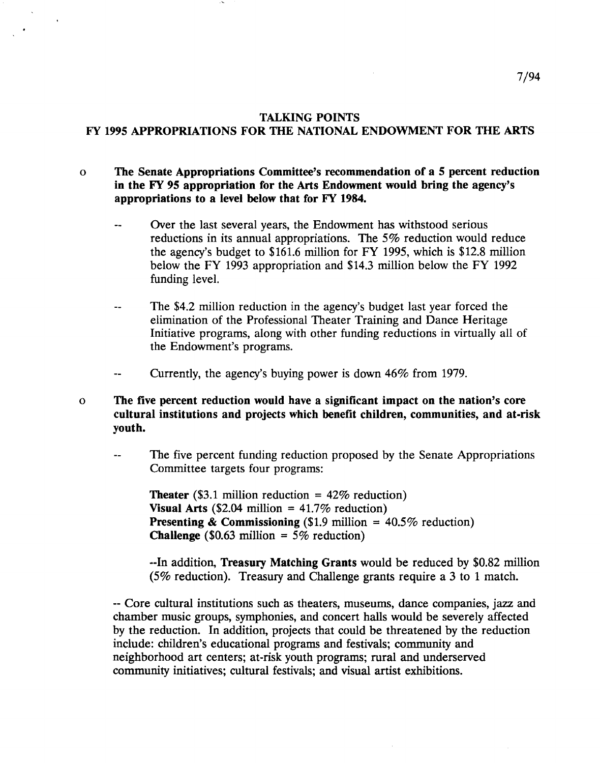## TALKING POINTS

# FY 1995 APPROPRIATIONS FOR THE NATIONAL ENDOWMENT FOR THE ARTS

# o The Senate Appropriations Committee's recommendation of a 5 percent reduction in the FY 95 appropriation for the Arts Endowment would bring the agency's appropriations to a level below that for FY 1984.

- Over the last several years, the Endowment has withstood serious reductions in its annual appropriations. The 5% reduction would reduce the agency's budget to \$161.6 million for FY 1995, which is \$12.8 million below the FY 1993 appropriation and \$14.3 million below the FY 1992 funding level.
- The \$4.2 million reduction in the agency's budget last year forced the  $\overline{a}$ elimination of the Professional Theater Training and Dance Heritage Initiative programs, along with other funding reductions in virtually all of the Endowment's programs.
- Currently, the agency's buying power is down 46% from 1979.  $\overline{\phantom{a}}$
- o The five percent reduction would have a significant impact on the nation's core cultural institutions and projects which benefit children, communities, and at-risk youth.
	- The five percent funding reduction proposed by the Senate Appropriations Committee targets four programs:

**Theater** (\$3.1 million reduction =  $42\%$  reduction) Visual Arts (\$2.04 million =  $41.7\%$  reduction) **Presenting & Commissioning** (\$1.9 million =  $40.5\%$  reduction) **Challenge** (\$0.63 million =  $5\%$  reduction)

--In addition, Treasury Matching Grants would be reduced by \$0.82 million (5% reduction). Treasury and Challenge grants require a 3 to 1 match.

-- Core cultural institutions such as theaters, museums, dance companies, jazz and chamber music groups, symphonies, and concert halls would be severely affected by the reduction. In addition, projects that could be threatened by the reduction include: children's educational programs and festivals; community and neighborhood art centers; at-risk youth programs; rural and underserved community initiatives; cultural festivals; and visual artist exhibitions.